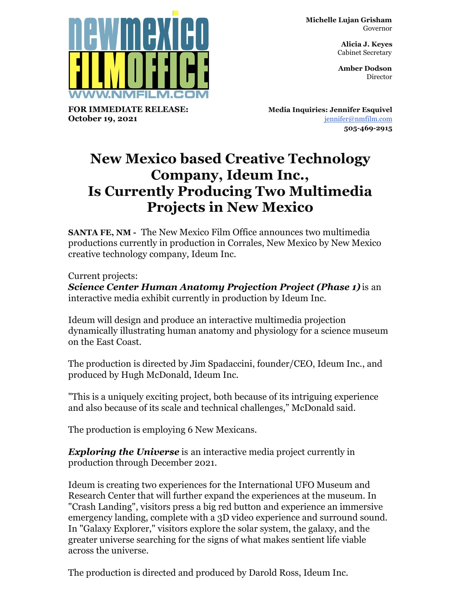**Michelle Lujan Grisham** Governor

> **Alicia J. Keyes** Cabinet Secretary

> **Amber Dodson Director**



**FOR IMMEDIATE RELEASE: October 19, 2021**

**Media Inquiries: Jennifer Esquivel** [jennifer@nmfilm.com](mailto:jennifer@nmfilm.com) **505-469-2915**

## **New Mexico based Creative Technology Company, Ideum Inc., Is Currently Producing Two Multimedia Projects in New Mexico**

**SANTA FE, NM -** The New Mexico Film Office announces two multimedia productions currently in production in Corrales, New Mexico by New Mexico creative technology company, Ideum Inc.

Current projects:

*Science Center Human Anatomy Projection Project (Phase 1)* is an interactive media exhibit currently in production by Ideum Inc.

Ideum will design and produce an interactive multimedia projection dynamically illustrating human anatomy and physiology for a science museum on the East Coast.

The production is directed by Jim Spadaccini, founder/CEO, Ideum Inc., and produced by Hugh McDonald, Ideum Inc.

"This is a uniquely exciting project, both because of its intriguing experience and also because of its scale and technical challenges," McDonald said.

The production is employing 6 New Mexicans.

*Exploring the Universe* is an interactive media project currently in production through December 2021.

Ideum is creating two experiences for the International UFO Museum and Research Center that will further expand the experiences at the museum. In "Crash Landing", visitors press a big red button and experience an immersive emergency landing, complete with a 3D video experience and surround sound. In "Galaxy Explorer," visitors explore the solar system, the galaxy, and the greater universe searching for the signs of what makes sentient life viable across the universe.

The production is directed and produced by Darold Ross, Ideum Inc.